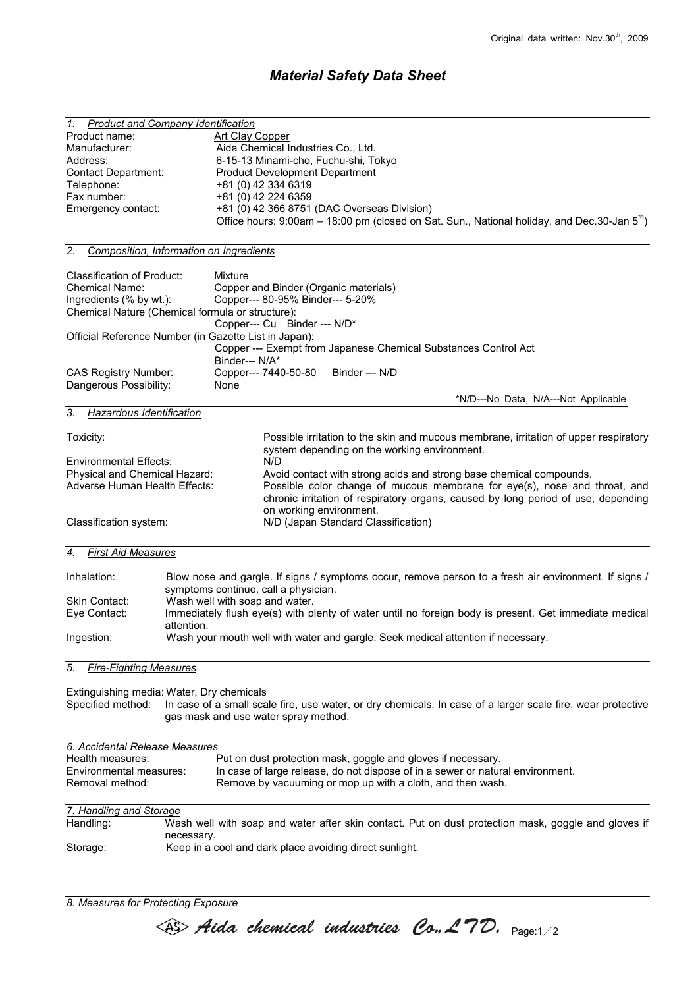## Material Safety Data Sheet

| 1.                                                                                                   | <b>Product and Company Identification</b>                                                                   |
|------------------------------------------------------------------------------------------------------|-------------------------------------------------------------------------------------------------------------|
| Product name:                                                                                        | <b>Art Clay Copper</b>                                                                                      |
| Manufacturer:                                                                                        | Aida Chemical Industries Co., Ltd.                                                                          |
| Address:                                                                                             | 6-15-13 Minami-cho, Fuchu-shi, Tokyo                                                                        |
| <b>Contact Department:</b>                                                                           | <b>Product Development Department</b>                                                                       |
| Telephone:                                                                                           | +81 (0) 42 334 6319                                                                                         |
| Fax number:                                                                                          | +81 (0) 42 224 6359                                                                                         |
| Emergency contact:                                                                                   | +81 (0) 42 366 8751 (DAC Overseas Division)                                                                 |
|                                                                                                      | Office hours: 9:00am - 18:00 pm (closed on Sat. Sun., National holiday, and Dec.30-Jan 5 <sup>th</sup> )    |
|                                                                                                      |                                                                                                             |
| 2.                                                                                                   | Composition, Information on Ingredients                                                                     |
|                                                                                                      |                                                                                                             |
| Classification of Product:                                                                           | Mixture                                                                                                     |
| <b>Chemical Name:</b>                                                                                | Copper and Binder (Organic materials)                                                                       |
| Ingredients (% by wt.):                                                                              | Copper--- 80-95% Binder--- 5-20%                                                                            |
|                                                                                                      | Chemical Nature (Chemical formula or structure):                                                            |
|                                                                                                      | Copper--- Cu Binder --- N/D*                                                                                |
|                                                                                                      | Official Reference Number (in Gazette List in Japan):                                                       |
|                                                                                                      | Copper --- Exempt from Japanese Chemical Substances Control Act                                             |
|                                                                                                      | Binder--- N/A*                                                                                              |
|                                                                                                      | Copper--- 7440-50-80<br>Binder --- N/D                                                                      |
| <b>CAS Registry Number:</b>                                                                          |                                                                                                             |
| Dangerous Possibility:                                                                               | None                                                                                                        |
|                                                                                                      | *N/D---No Data, N/A---Not Applicable                                                                        |
| Hazardous Identification<br>3.                                                                       |                                                                                                             |
|                                                                                                      |                                                                                                             |
| Toxicity:                                                                                            | Possible irritation to the skin and mucous membrane, irritation of upper respiratory                        |
|                                                                                                      | system depending on the working environment.                                                                |
| <b>Environmental Effects:</b>                                                                        | N/D                                                                                                         |
| Physical and Chemical Hazard:<br>Avoid contact with strong acids and strong base chemical compounds. |                                                                                                             |
| Adverse Human Health Effects:                                                                        | Possible color change of mucous membrane for eye(s), nose and throat, and                                   |
|                                                                                                      | chronic irritation of respiratory organs, caused by long period of use, depending                           |
|                                                                                                      | on working environment.                                                                                     |
| N/D (Japan Standard Classification)<br>Classification system:                                        |                                                                                                             |
|                                                                                                      |                                                                                                             |
|                                                                                                      |                                                                                                             |
| <b>First Aid Measures</b><br>4.                                                                      |                                                                                                             |
|                                                                                                      |                                                                                                             |
| Inhalation:                                                                                          | Blow nose and gargle. If signs / symptoms occur, remove person to a fresh air environment. If signs /       |
|                                                                                                      | symptoms continue, call a physician.                                                                        |
| Skin Contact:                                                                                        | Wash well with soap and water.                                                                              |
| Eye Contact:                                                                                         | Immediately flush eye(s) with plenty of water until no foreign body is present. Get immediate medical       |
|                                                                                                      | attention.                                                                                                  |
| Ingestion:                                                                                           | Wash your mouth well with water and gargle. Seek medical attention if necessary.                            |
|                                                                                                      |                                                                                                             |
| 5.<br><b>Fire-Fighting Measures</b>                                                                  |                                                                                                             |
|                                                                                                      |                                                                                                             |
|                                                                                                      |                                                                                                             |
| Specified method:                                                                                    | Extinguishing media: Water, Dry chemicals                                                                   |
|                                                                                                      | In case of a small scale fire, use water, or dry chemicals. In case of a larger scale fire, wear protective |
|                                                                                                      | gas mask and use water spray method.                                                                        |
|                                                                                                      |                                                                                                             |
|                                                                                                      |                                                                                                             |
|                                                                                                      |                                                                                                             |
| 6. Accidental Release Measures<br>Health measures:                                                   |                                                                                                             |
|                                                                                                      | Put on dust protection mask, goggle and gloves if necessary.                                                |
| Environmental measures:                                                                              | In case of large release, do not dispose of in a sewer or natural environment.                              |
| Removal method:                                                                                      | Remove by vacuuming or mop up with a cloth, and then wash.                                                  |
|                                                                                                      |                                                                                                             |
| 7. Handling and Storage                                                                              |                                                                                                             |
| Handling:                                                                                            | Wash well with soap and water after skin contact. Put on dust protection mask, goggle and gloves if         |
|                                                                                                      | necessary.                                                                                                  |
| Storage:                                                                                             | Keep in a cool and dark place avoiding direct sunlight.                                                     |
|                                                                                                      |                                                                                                             |

8. Measures for Protecting Exposure

 $\iff$  Aida chemical industries Co., L7D.  $_{\text{Page:1/2}}$